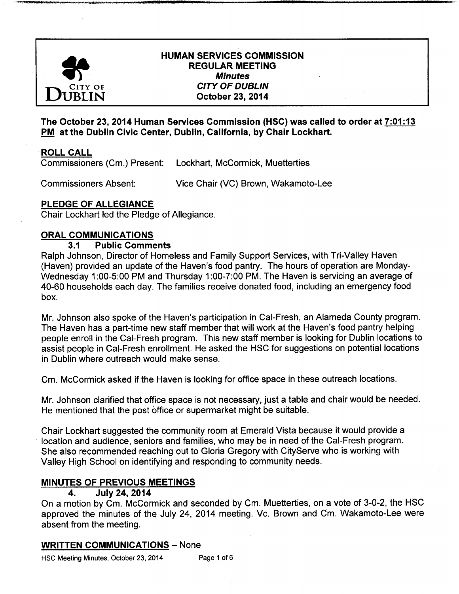

### HUMAN SERVICES COMMISSION REGULAR MEETING Minutes **CITY OF DUBLIN**  $JRIIN$  October 23, 2014

## The October 23, 2014 Human Services Commission (HSC) was called to order at 7:01:13 PM at the Dublin Civic Center, Dublin, California, by Chair Lockhart.

## ROLL CALL

Commissioners (Cm.) Present: Lockhart, McCormick, Muetterties

Commissioners Absent: Vice Chair (VC) Brown, Wakamoto-Lee

#### PLEDGE OF ALLEGIANCE

Chair Lockhart led the Pledge of Allegiance.

#### ORAL COMMUNICATIONS

#### 3.1 Public Comments

Ralph Johnson, Director of Homeless and Family Support Services, with Tri-Valley Haven (Haven) provided an update of the Haven's food pantry. The hours of operation are Monday-Wednesday 1:00-5:00 PM and Thursday 1:00-7:00 PM. The Haven is servicing an average of 40-60 households each day. The families receive donated food, including an emergency food box.

Mr. Johnson also spoke of the Haven's participation in Cal-Fresh, an Alameda County program. The Haven has a part-time new staff member that will work at the Haven's food pantry helping people enroll in the Cal-Fresh program. This new staff member is looking for Dublin locations to assist people in Cal-Fresh enrollment. He asked the HSC for suggestions on potential locations in Dublin where outreach would make sense.

Cm. McCormick asked if the Haven is looking for office space in these outreach locations.

Mr. Johnson clarified that office space is not necessary, just a table and chair would be needed. He mentioned that the post office or supermarket might be suitable.

Chair Lockhart suggested the community room at Emerald Vista because it would provide a location and audience, seniors and families, who may be in need of the Cal-Fresh program. She also recommended reaching out to Gloria Gregory with CityServe who is working with Valley High School on identifying and responding to community needs.

## MINUTES OF PREVIOUS MEETINGS

#### 4. July 24, 2014

On a motion by Cm. McCormick and seconded by Cm. Muetterties, on a vote of 3-0-2, the HSC approved the minutes of the July 24, 2014 meeting. Vc. Brown and Cm. Wakamoto-Lee were absent from the meeting.

## WRITTEN COMMUNICATIONS — None

HSC Meeting Minutes, October 23, 2014 Page 1 of 6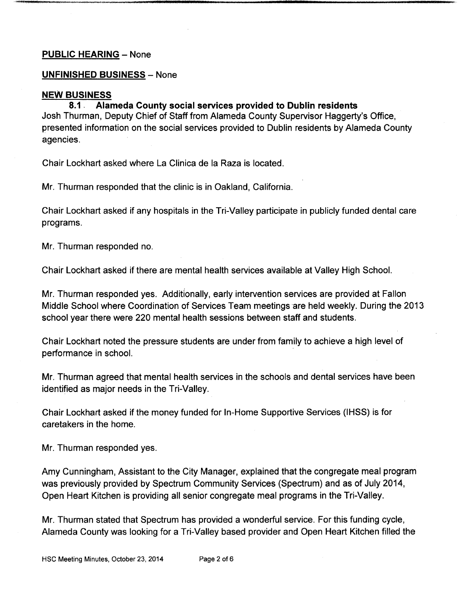#### PUBLIC HEARING — None

#### UNFINISHED BUSINESS — None

#### NEW BUSINESS

8.1 Alameda County social services provided to Dublin residents Josh Thurman, Deputy Chief of Staff from Alameda County Supervisor Haggerty's Office, presented information on the social services provided to Dublin residents by Alameda County agencies.

Chair Lockhart asked where La Clinica de la Raza is located.

Mr. Thurman responded that the clinic is in Oakland, California.

Chair Lockhart asked if any hospitals in the Tri-Valley participate in publicly funded dental care programs.

Mr. Thurman responded no.

Chair Lockhart asked if there are mental health services available at Valley High School.

Mr. Thurman responded yes. Additionally, early intervention services are provided at Fallon Middle School where Coordination of Services Team meetings are held weekly. During the 2013 school year there were 220 mental health sessions between staff and students.

Chair Lockhart noted the pressure students are under from family to achieve a high level of performance in school.

Mr. Thurman agreed that mental health services in the schools and dental services have been identified as major needs in the Tri-Valley.

Chair Lockhart asked if the money funded for In- Home Supportive Services ( IHSS) is for caretakers in the home.

Mr. Thurman responded yes.

Amy Cunningham, Assistant to the City Manager, explained that the congregate meal program was previously provided by Spectrum Community Services (Spectrum) and as of July 2014, Open Heart Kitchen is providing all senior congregate meal programs in the Tri-Valley.

Mr. Thurman stated that Spectrum has provided a wonderful service. For this funding cycle, Alameda County was looking for a Tri-Valley based provider and Open Heart Kitchen filled the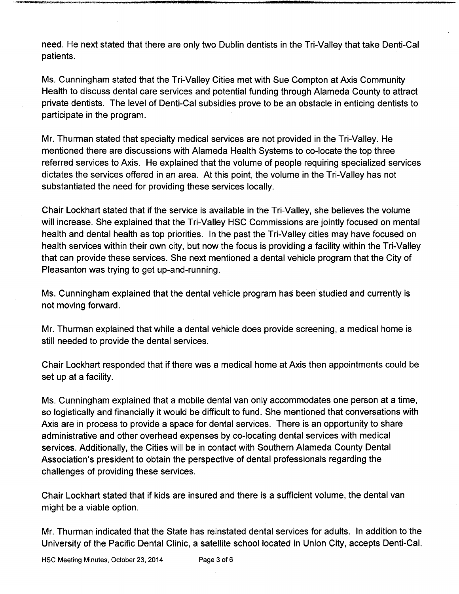need. He next stated that there are only two Dublin dentists in the Tri-Valley that take Denti-Cal patients.

Ms. Cunningham stated that the Tri-Valley Cities met with Sue Compton at Axis Community Health to discuss dental care services and potential funding through Alameda County to attract private dentists. The level of Denti-Cal subsidies prove to be an obstacle in enticing dentists to participate in the program.

Mr. Thurman stated that specialty medical services are not provided in the Tri-Valley. He mentioned there are discussions with Alameda Health Systems to co-locate the top three referred services to Axis. He explained that the volume of people requiring specialized services dictates the services offered in an area. At this point, the volume in the Tri-Valley has not substantiated the need for providing these services locally.

Chair Lockhart stated that if the service is available in the Tri-Valley, she believes the volume will increase. She explained that the Tri-Valley HSC Commissions are jointly focused on mental health and dental health as top priorities. In the past the Tri-Valley cities may have focused on health services within their own city, but now the focus is providing a facility within the Tri-Valley that can provide these services. She next mentioned a dental vehicle program that the City of Pleasanton was trying to get up-and-running.

Ms. Cunningham explained that the dental vehicle program has been studied and currently is not moving forward.

Mr. Thurman explained that while a dental vehicle does provide screening, a medical home is still needed to provide the dental services.

Chair Lockhart responded that if there was a medical home at Axis then appointments could be set up at a facility.

Ms. Cunningham explained that a mobile dental van only accommodates one person at a time, so logistically and financially it would be difficult to fund. She mentioned that conversations with Axis are in process to provide a space for dental services. There is an opportunity to share administrative and other overhead expenses by co-locating dental services with medical services. Additionally, the Cities will be in contact with Southern Alameda County Dental Association's president to obtain the perspective of dental professionals regarding the challenges of providing these services.

Chair Lockhart stated that if kids are insured and there is a sufficient volume, the dental van might be a viable option.

Mr. Thurman indicated that the State has reinstated dental services for adults. In addition to the University of the Pacific Dental Clinic, a satellite school located in Union City, accepts Denti-Cal.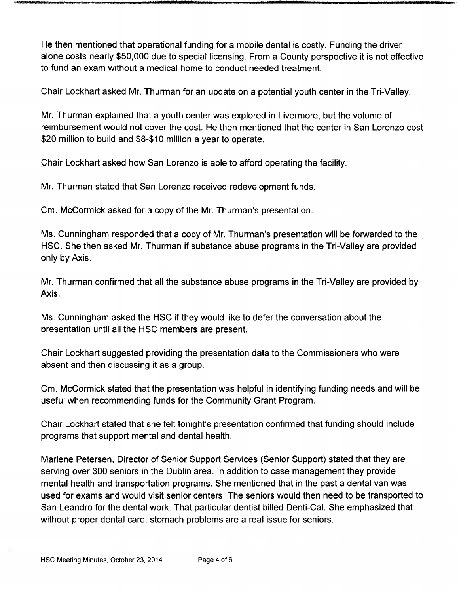He then mentioned that operational funding for a mobile dental is costly. Funding the driver alone costs nearly \$50,000 due to special licensing. From <sup>a</sup> County perspective it is not effective to fund an exam without a medical home to conduct needed treatment.

Chair Lockhart asked Mr. Thurman for an update on a potential youth center in the Tri-Valley.

Mr. Thurman explained that a youth center was explored in Livermore, but the volume of reimbursement would not cover the cost. He then mentioned that the center in San Lorenzo cost \$20 million to build and \$8-\$10 million a year to operate.

Chair Lockhart asked how San Lorenzo is able to afford operating the facility.

Mr. Thurman stated that San Lorenzo received redevelopment funds.

Cm. McCormick asked for a copy of the Mr. Thurman's presentation.

Ms. Cunningham responded that a copy of Mr. Thurman' s presentation will be forwarded to the HSC. She then asked Mr. Thurman if substance abuse programs in the Tri-Valley are provided only by Axis.

Mr. Thurman confirmed that all the substance abuse programs in the Tri-Valley are provided by Axis.

Ms. Cunningham asked the HSC if they would like to defer the conversation about the presentation until all the HSC members are present.

Chair Lockhart suggested providing the presentation data to the Commissioners who were absent and then discussing it as a group.

Cm. McCormick stated that the presentation was helpful in identifying funding needs and will be useful when recommending funds for the Community Grant Program.

Chair Lockhart stated that she felt tonight's presentation confirmed that funding should include programs that support mental and dental health.

Marlene Petersen, Director of Senior Support Services (Senior Support) stated that they are serving over 300 seniors in the Dublin area. In addition to case management they provide mental health and transportation programs. She mentioned that in the past a dental van was used for exams and would visit senior centers. The seniors would then need to be transported to San Leandro for the dental work. That particular dentist billed Denti- Cal. She emphasized that without proper dental care, stomach problems are a real issue for seniors.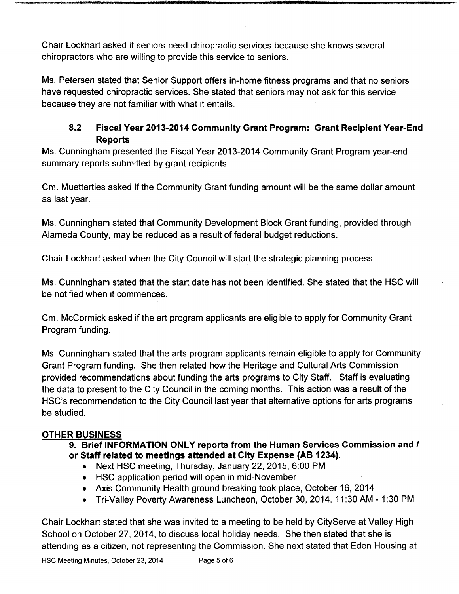Chair Lockhart asked if seniors need chiropractic services because she knows several chiropractors who are willing to provide this service to seniors.

Ms. Petersen stated that Senior Support offers in- home fitness programs and that no seniors have requested chiropractic services. She stated that seniors may not ask for this service because they are not familiar with what it entails.

# 8.2 Fiscal Year 2013-2014 Community Grant Program: Grant Recipient Year-End Reports

Ms. Cunningham presented the Fiscal Year 2013-2014 Community Grant Program year-end summary reports submitted by grant recipients.

Cm. Muetterties asked if the Community Grant funding amount will be the same dollar amount as last year.

Ms. Cunningham stated that Community Development Block Grant funding, provided through Alameda County, may be reduced as a result of federal budget reductions.

Chair Lockhart asked when the City Council will start the strategic planning process.

Ms. Cunningham stated that the start date has not been identified. She stated that the HSC will be notified when it commences.

Cm. McCormick asked if the art program applicants are eligible to apply for Community Grant Program funding.

Ms. Cunningham stated that the arts program applicants remain eligible to apply for Community Grant Program funding. She then related how the Heritage and Cultural Arts Commission provided recommendations about funding the arts programs to City Staff. Staff is evaluating the data to present to the City Council in the coming months. This action was <sup>a</sup> result of the HSC's recommendation to the City Council last year that alternative options for arts programs be studied.

# OTHER BUSINESS

# 9. Brief INFORMATION ONLY reports from the Human Services Commission and / or Staff related to meetings attended at City Expense (AB 1234).

- Next HSC meeting, Thursday, January 22, 2015, 6:00 PM
- HSC application period will open in mid-November
- Axis Community Health ground breaking took place, October 16, 2014
- Tri-Valley Poverty Awareness Luncheon, October 30, 2014, 11:30 AM 1:30 PM

Chair Lockhart stated that she was invited to a meeting to be held by CityServe at Valley High School on October 27, 2014, to discuss local holiday needs. She then stated that she is attending as a citizen, not representing the Commission. She next stated that Eden Housing at